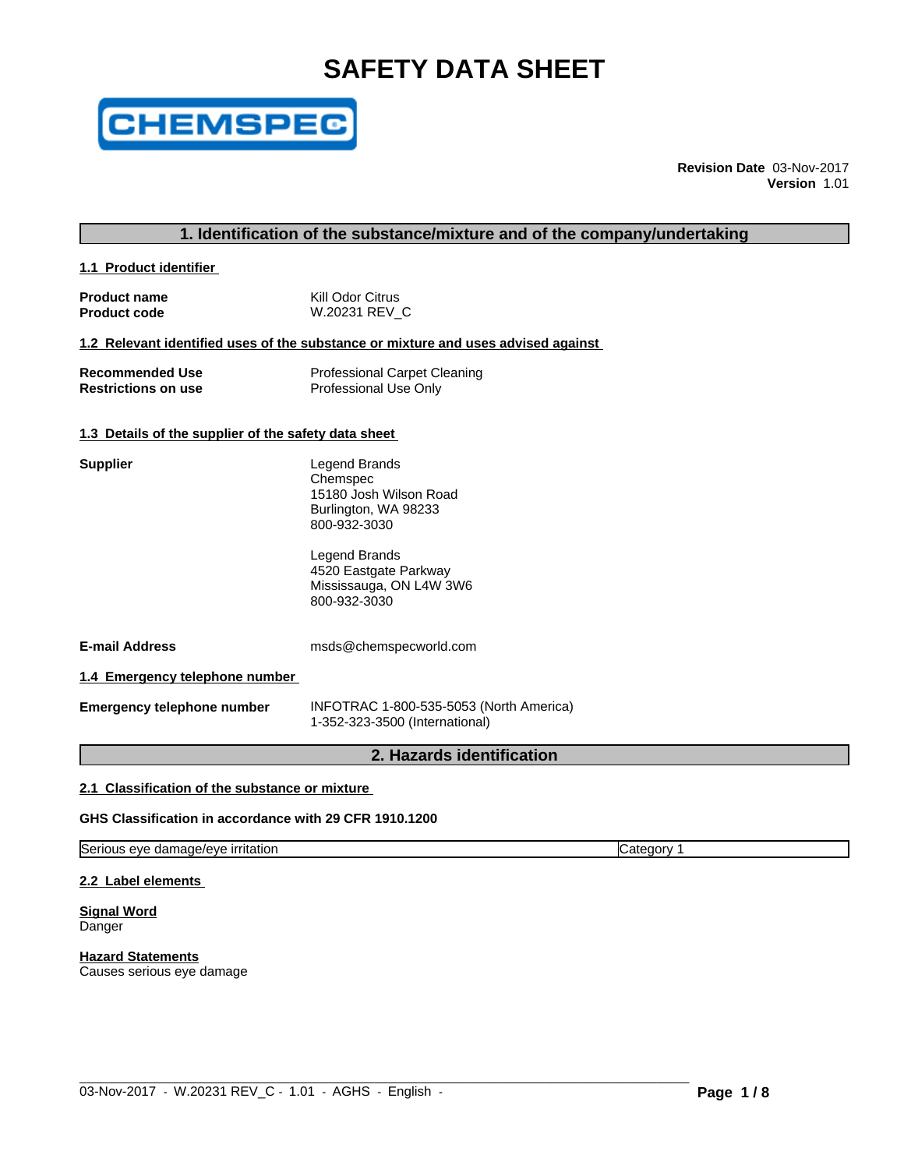# **SAFETY DATA SHEET**



**Revision Date** 03-Nov-2017 **Version** 1.01

#### **1. Identification of the substance/mixture and of the company/undertaking**

**1.1 Product identifier** 

| <b>Product name</b> | Kill Odor Citrus |
|---------------------|------------------|
| <b>Product code</b> | W.20231 REV C    |

#### **1.2 Relevant identified uses of the substance or mixture and uses advised against**

| <b>Recommended Use</b>     | <b>Professional Carpet Cleaning</b> |
|----------------------------|-------------------------------------|
| <b>Restrictions on use</b> | Professional Use Only               |

#### **1.3 Details of the supplier of the safety data sheet**

| Supplier | Legend Brands<br>Chemspec<br>15180 Josh Wilson Road<br>Burlington, WA 98233<br>800-932-3030 |  |
|----------|---------------------------------------------------------------------------------------------|--|
|          | Legend Brands<br>4520 Epetapta Darkway                                                      |  |

4520 Eastgate Parkway Mississauga, ON L4W 3W6 800-932-3030

**E-mail Address** msds@chemspecworld.com

**1.4 Emergency telephone number**

**Emergency telephone number** INFOTRAC 1-800-535-5053 (North America) 1-352-323-3500 (International)

 $\_$  ,  $\_$  ,  $\_$  ,  $\_$  ,  $\_$  ,  $\_$  ,  $\_$  ,  $\_$  ,  $\_$  ,  $\_$  ,  $\_$  ,  $\_$  ,  $\_$  ,  $\_$  ,  $\_$  ,  $\_$  ,  $\_$  ,  $\_$  ,  $\_$  ,  $\_$  ,  $\_$  ,  $\_$  ,  $\_$  ,  $\_$  ,  $\_$  ,  $\_$  ,  $\_$  ,  $\_$  ,  $\_$  ,  $\_$  ,  $\_$  ,  $\_$  ,  $\_$  ,  $\_$  ,  $\_$  ,  $\_$  ,  $\_$  ,

# **2. Hazards identification**

### **2.1 Classification of the substance or mixture**

**GHS Classification in accordance with 29 CFR 1910.1200**

Serious eye damage/eye irritation Category 1

**2.2 Label elements**

**Signal Word** Danger

**Hazard Statements** Causes serious eye damage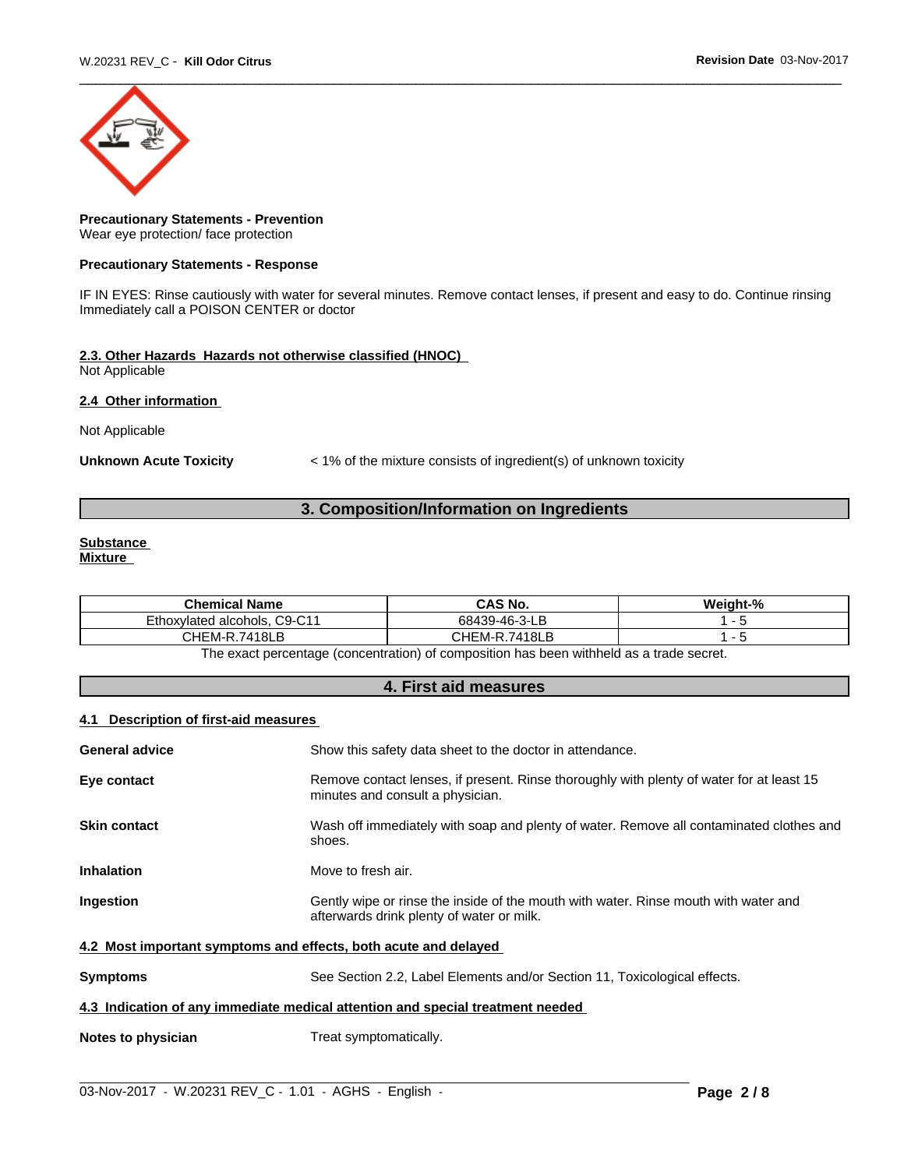

#### **Precautionary Statements - Prevention** Wear eye protection/ face protection

#### **Precautionary Statements - Response**

IF IN EYES: Rinse cautiously with water for several minutes. Remove contact lenses, if present and easy to do. Continue rinsing Immediately call a POISON CENTER or doctor

# **2.3. Other Hazards Hazards not otherwise classified (HNOC)**

Not Applicable

#### **2.4 Other information**

Not Applicable

**Unknown Acute Toxicity** < 1% of the mixture consists of ingredient(s) of unknown toxicity

# **3. Composition/Information on Ingredients**

# **Substance**

**Mixture**

| <b>Chemical Name</b>            | CAS No.       | Weight-% |
|---------------------------------|---------------|----------|
| C9-C11<br>Ethoxylated alcohols, | 68439-46-3-LB |          |
| 7418LB<br>CHEM-R<br>-<br>. .    | CHEM-R.7418LB |          |
| $-$                             | .<br>.<br>. . |          |

The exact percentage (concentration) of composition has been withheld as a trade secret.

# **4. First aid measures**

#### **4.1 Description of first-aid measures**

| <b>General advice</b>                                                          | Show this safety data sheet to the doctor in attendance.                                                                         |  |
|--------------------------------------------------------------------------------|----------------------------------------------------------------------------------------------------------------------------------|--|
| Eye contact                                                                    | Remove contact lenses, if present. Rinse thoroughly with plenty of water for at least 15<br>minutes and consult a physician.     |  |
| <b>Skin contact</b>                                                            | Wash off immediately with soap and plenty of water. Remove all contaminated clothes and<br>shoes.                                |  |
| <b>Inhalation</b>                                                              | Move to fresh air.                                                                                                               |  |
| Ingestion                                                                      | Gently wipe or rinse the inside of the mouth with water. Rinse mouth with water and<br>afterwards drink plenty of water or milk. |  |
| 4.2 Most important symptoms and effects, both acute and delayed                |                                                                                                                                  |  |
| <b>Symptoms</b>                                                                | See Section 2.2, Label Elements and/or Section 11, Toxicological effects.                                                        |  |
| 4.3 Indication of any immediate medical attention and special treatment needed |                                                                                                                                  |  |
| Notes to physician                                                             | Treat symptomatically.                                                                                                           |  |
|                                                                                |                                                                                                                                  |  |

 $\_$  ,  $\_$  ,  $\_$  ,  $\_$  ,  $\_$  ,  $\_$  ,  $\_$  ,  $\_$  ,  $\_$  ,  $\_$  ,  $\_$  ,  $\_$  ,  $\_$  ,  $\_$  ,  $\_$  ,  $\_$  ,  $\_$  ,  $\_$  ,  $\_$  ,  $\_$  ,  $\_$  ,  $\_$  ,  $\_$  ,  $\_$  ,  $\_$  ,  $\_$  ,  $\_$  ,  $\_$  ,  $\_$  ,  $\_$  ,  $\_$  ,  $\_$  ,  $\_$  ,  $\_$  ,  $\_$  ,  $\_$  ,  $\_$  ,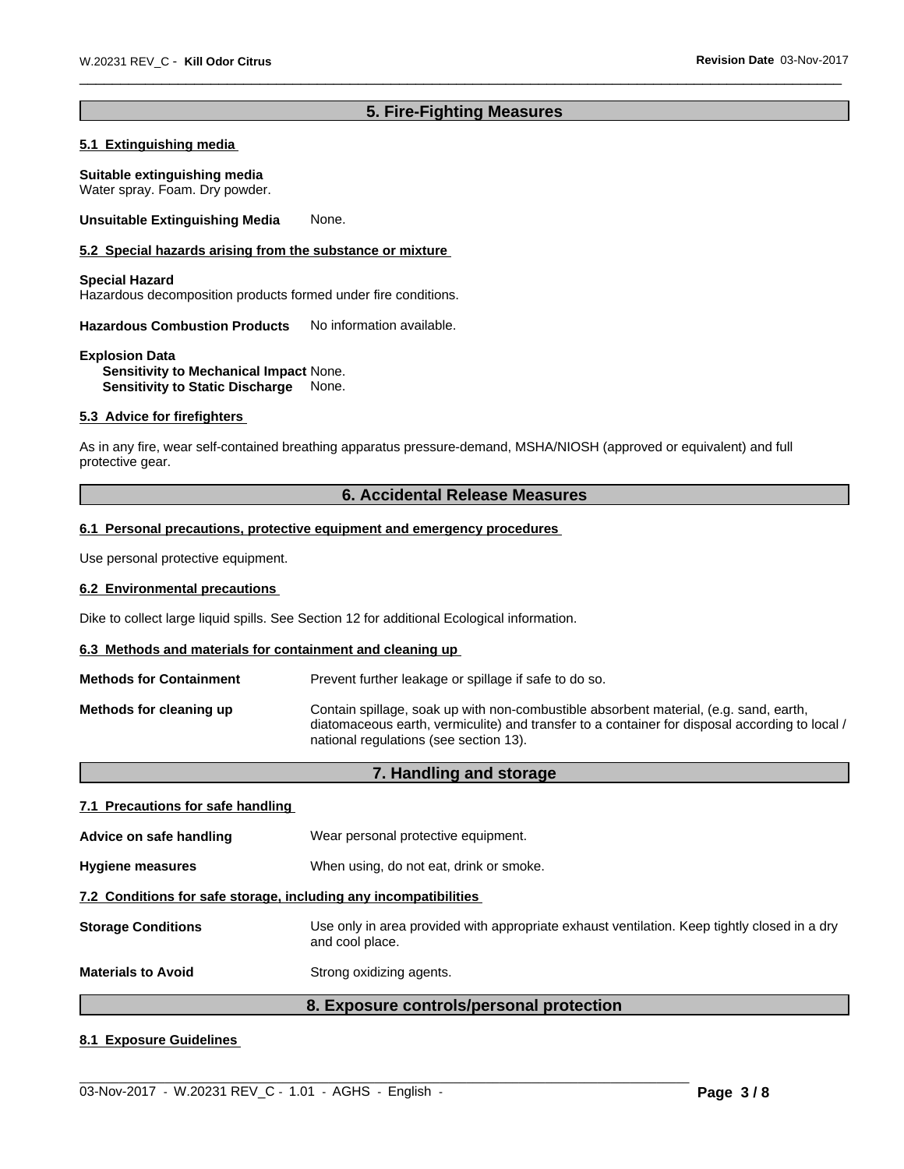# **5. Fire-Fighting Measures**

#### **5.1 Extinguishing media**

**Suitable extinguishing media** Water spray. Foam. Dry powder.

**Unsuitable Extinguishing Media** None.

#### **5.2 Special hazards arising from the substance or mixture**

# **Special Hazard**

Hazardous decomposition products formed under fire conditions.

**Hazardous Combustion Products** No information available.

#### **Explosion Data Sensitivity to Mechanical Impact** None. **Sensitivity to Static Discharge** None.

#### **5.3 Advice for firefighters**

As in any fire, wear self-contained breathing apparatus pressure-demand, MSHA/NIOSH (approved or equivalent) and full protective gear.

#### **6. Accidental Release Measures**

#### **6.1 Personal precautions, protective equipment and emergency procedures**

Use personal protective equipment.

#### **6.2 Environmental precautions**

Dike to collect large liquid spills. See Section 12 for additional Ecological information.

#### **6.3 Methods and materials for containment and cleaning up**

**Methods for Containment** Prevent further leakage or spillage if safe to do so.

| Methods for cleaning up | Contain spillage, soak up with non-combustible absorbent material, (e.g. sand, earth,<br>diatomaceous earth, vermiculite) and transfer to a container for disposal according to local / |
|-------------------------|-----------------------------------------------------------------------------------------------------------------------------------------------------------------------------------------|
|                         | national regulations (see section 13).                                                                                                                                                  |

# **7. Handling and storage 7.1 Precautions for safe handling Advice on safe handling** Wear personal protective equipment.**Hygiene measures** When using, do not eat, drink or smoke.

# **7.2 Conditions for safe storage, including any incompatibilities Storage Conditions** Use only in area provided with appropriate exhaust ventilation. Keep tightly closed in a dry and cool place.

**Materials to Avoid** Strong oxidizing agents.

# **8. Exposure controls/personal protection**

 $\_$  ,  $\_$  ,  $\_$  ,  $\_$  ,  $\_$  ,  $\_$  ,  $\_$  ,  $\_$  ,  $\_$  ,  $\_$  ,  $\_$  ,  $\_$  ,  $\_$  ,  $\_$  ,  $\_$  ,  $\_$  ,  $\_$  ,  $\_$  ,  $\_$  ,  $\_$  ,  $\_$  ,  $\_$  ,  $\_$  ,  $\_$  ,  $\_$  ,  $\_$  ,  $\_$  ,  $\_$  ,  $\_$  ,  $\_$  ,  $\_$  ,  $\_$  ,  $\_$  ,  $\_$  ,  $\_$  ,  $\_$  ,  $\_$  ,

#### **8.1 Exposure Guidelines**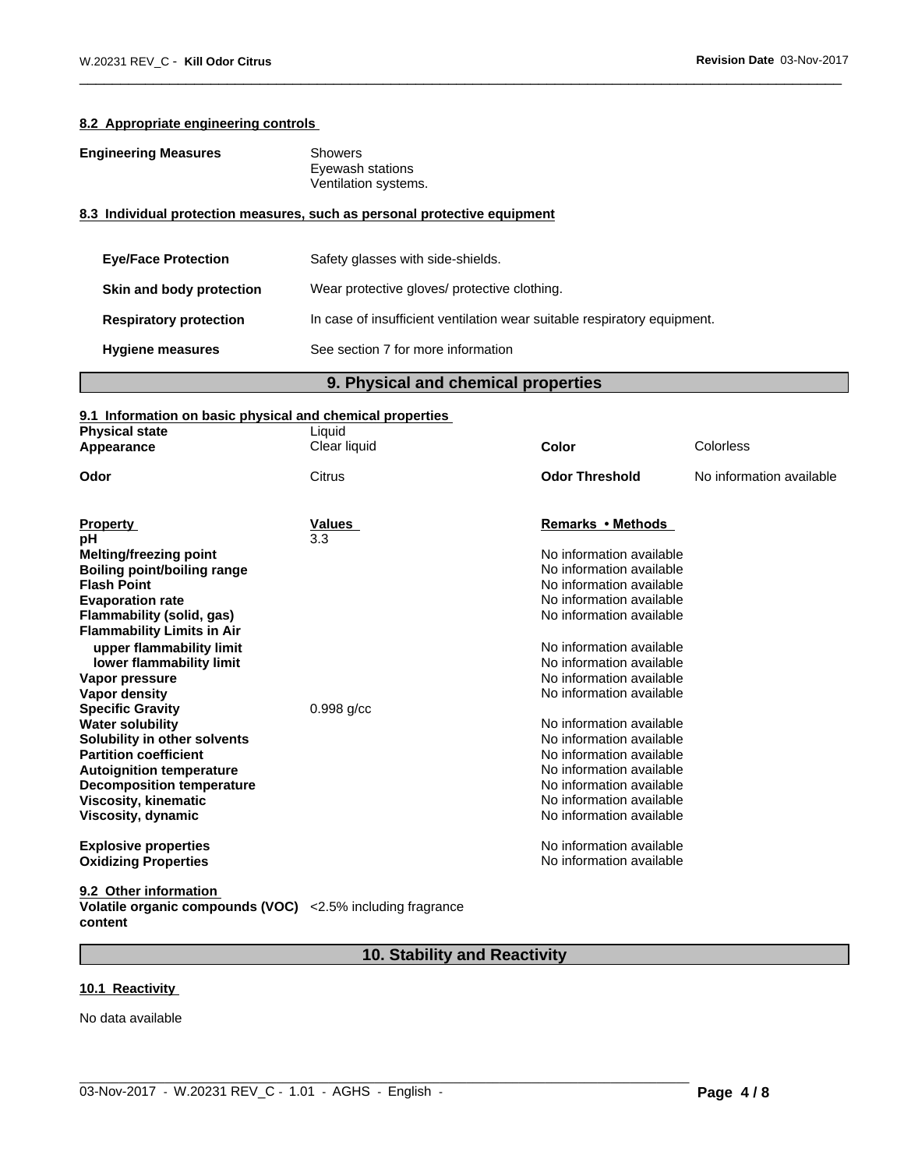#### **8.2 Appropriate engineering controls**

| <b>Engineering Measures</b>   | Showers<br>Eyewash stations<br>Ventilation systems.                       |  |
|-------------------------------|---------------------------------------------------------------------------|--|
|                               | 8.3 Individual protection measures, such as personal protective equipment |  |
| <b>Eye/Face Protection</b>    | Safety glasses with side-shields.                                         |  |
| Skin and body protection      | Wear protective gloves/ protective clothing.                              |  |
| <b>Respiratory protection</b> | In case of insufficient ventilation wear suitable respiratory equipment.  |  |
| <b>Hygiene measures</b>       | See section 7 for more information                                        |  |

# **9. Physical and chemical properties**

# **9.1 Information on basic physical and chemical properties**

| <b>Physical state</b><br>Appearance | Liquid<br>Clear liquid | Color                    | Colorless                |
|-------------------------------------|------------------------|--------------------------|--------------------------|
| Odor                                | Citrus                 | <b>Odor Threshold</b>    | No information available |
|                                     |                        |                          |                          |
| <b>Property</b>                     | Values                 | Remarks • Methods        |                          |
| рH                                  | 3.3                    |                          |                          |
| <b>Melting/freezing point</b>       |                        | No information available |                          |
| Boiling point/boiling range         |                        | No information available |                          |
| <b>Flash Point</b>                  |                        | No information available |                          |
| <b>Evaporation rate</b>             |                        | No information available |                          |
| Flammability (solid, gas)           |                        | No information available |                          |
| <b>Flammability Limits in Air</b>   |                        |                          |                          |
| upper flammability limit            |                        | No information available |                          |
| lower flammability limit            |                        | No information available |                          |
| Vapor pressure                      |                        | No information available |                          |
| <b>Vapor density</b>                |                        | No information available |                          |
| <b>Specific Gravity</b>             | $0.998$ g/cc           |                          |                          |
| <b>Water solubility</b>             |                        | No information available |                          |
| Solubility in other solvents        |                        | No information available |                          |
| <b>Partition coefficient</b>        |                        | No information available |                          |
| <b>Autoignition temperature</b>     |                        | No information available |                          |
| <b>Decomposition temperature</b>    |                        | No information available |                          |
| <b>Viscosity, kinematic</b>         |                        | No information available |                          |
| Viscosity, dynamic                  |                        | No information available |                          |
| <b>Explosive properties</b>         |                        | No information available |                          |
| <b>Oxidizing Properties</b>         |                        | No information available |                          |
| 9.2 Other information               |                        |                          |                          |

**Volatile organic compounds (VOC) content** <2.5% including fragrance

# **10. Stability and Reactivity**

#### **10.1 Reactivity**

No data available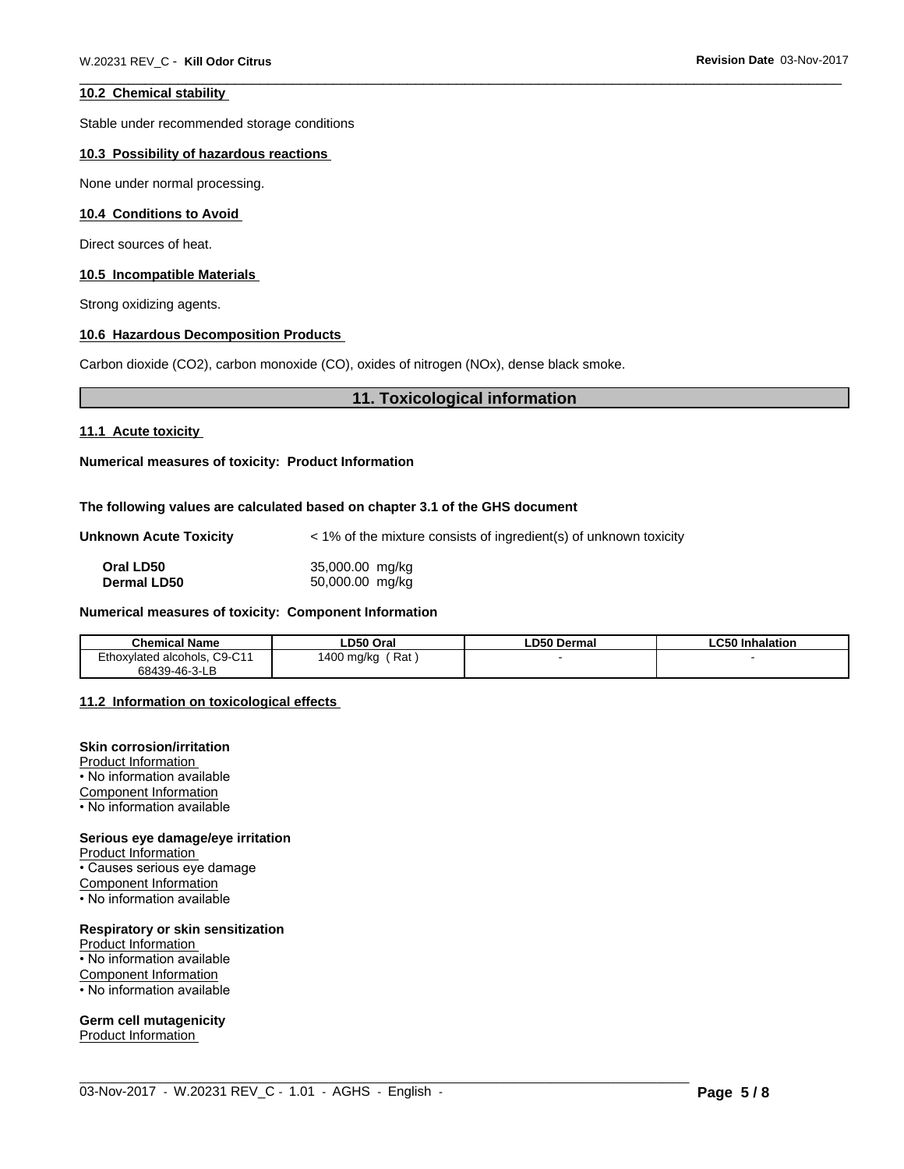#### **10.2 Chemical stability**

Stable under recommended storage conditions

#### **10.3 Possibility of hazardous reactions**

None under normal processing.

#### **10.4 Conditions to Avoid**

Direct sources of heat.

#### **10.5 Incompatible Materials**

Strong oxidizing agents.

#### **10.6 Hazardous Decomposition Products**

Carbon dioxide (CO2), carbon monoxide (CO), oxides of nitrogen (NOx), dense black smoke.

# **11. Toxicological information**

#### **11.1 Acute toxicity**

**Numerical measures of toxicity: Product Information**

#### **The following values are calculated based on chapter 3.1 of the GHS document**

| <b>Unknown Acute Toxicity</b> | < 1% of the mixture consists of ingredient(s) of unknown toxicity |  |
|-------------------------------|-------------------------------------------------------------------|--|
|                               |                                                                   |  |

| Oral LD50          | 35,000.00 mg/kg |
|--------------------|-----------------|
| <b>Dermal LD50</b> | 50,000.00 mg/kg |

#### **Numerical measures of toxicity: Component Information**

| <b>Chemical Name</b>                          | ∟D50 Oral                          | ∟D50 Dermal | $\sim$ $\sim$<br><b>Inhalation</b><br>ำน |
|-----------------------------------------------|------------------------------------|-------------|------------------------------------------|
| C9-C11<br><i>∃</i> thox∘<br>xvlated alcohols. | Rat<br>LANC<br>400 mg/kg<br>$\sim$ |             |                                          |
| 68439-46-3-LB                                 |                                    |             |                                          |

 $\_$  ,  $\_$  ,  $\_$  ,  $\_$  ,  $\_$  ,  $\_$  ,  $\_$  ,  $\_$  ,  $\_$  ,  $\_$  ,  $\_$  ,  $\_$  ,  $\_$  ,  $\_$  ,  $\_$  ,  $\_$  ,  $\_$  ,  $\_$  ,  $\_$  ,  $\_$  ,  $\_$  ,  $\_$  ,  $\_$  ,  $\_$  ,  $\_$  ,  $\_$  ,  $\_$  ,  $\_$  ,  $\_$  ,  $\_$  ,  $\_$  ,  $\_$  ,  $\_$  ,  $\_$  ,  $\_$  ,  $\_$  ,  $\_$  ,

#### **11.2 Information on toxicologicaleffects**

#### **Skin corrosion/irritation**

Product Information • No information available Component Information • No information available

#### **Serious eye damage/eye irritation**

Product Information • Causes serious eye damage Component Information • No information available

#### **Respiratory or skin sensitization**

Product Information • No information available Component Information • No information available

#### **Germ cell mutagenicity**

Product Information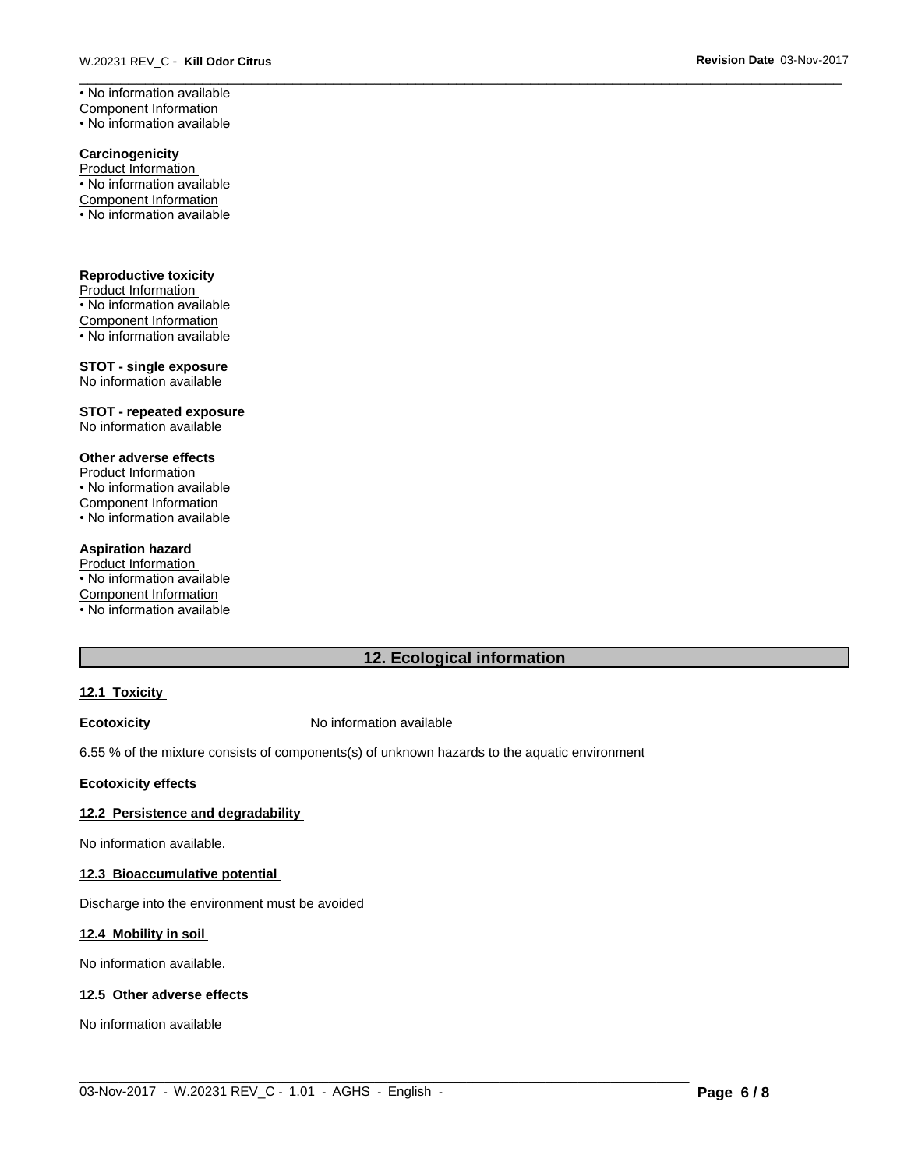**Carcinogenicity** Product Information • No information available Component Information • No information available

**Reproductive toxicity** Product Information • No information available Component Information • No information available

**STOT - single exposure** No information available

**STOT - repeated exposure** No information available

#### **Other adverse effects**

Product Information • No information available Component Information • No information available

#### **Aspiration hazard**

Product Information • No information available Component Information • No information available

# **12. Ecological information**

 $\_$  ,  $\_$  ,  $\_$  ,  $\_$  ,  $\_$  ,  $\_$  ,  $\_$  ,  $\_$  ,  $\_$  ,  $\_$  ,  $\_$  ,  $\_$  ,  $\_$  ,  $\_$  ,  $\_$  ,  $\_$  ,  $\_$  ,  $\_$  ,  $\_$  ,  $\_$  ,  $\_$  ,  $\_$  ,  $\_$  ,  $\_$  ,  $\_$  ,  $\_$  ,  $\_$  ,  $\_$  ,  $\_$  ,  $\_$  ,  $\_$  ,  $\_$  ,  $\_$  ,  $\_$  ,  $\_$  ,  $\_$  ,  $\_$  ,

#### **12.1 Toxicity**

**Ecotoxicity No information available** 

6.55 % of the mixture consists of components(s) of unknown hazards to the aquatic environment

#### **Ecotoxicity effects**

#### **12.2 Persistence and degradability**

No information available.

#### **12.3 Bioaccumulative potential**

Discharge into the environment must be avoided

#### **12.4 Mobility in soil**

No information available.

# **12.5 Other adverse effects**

No information available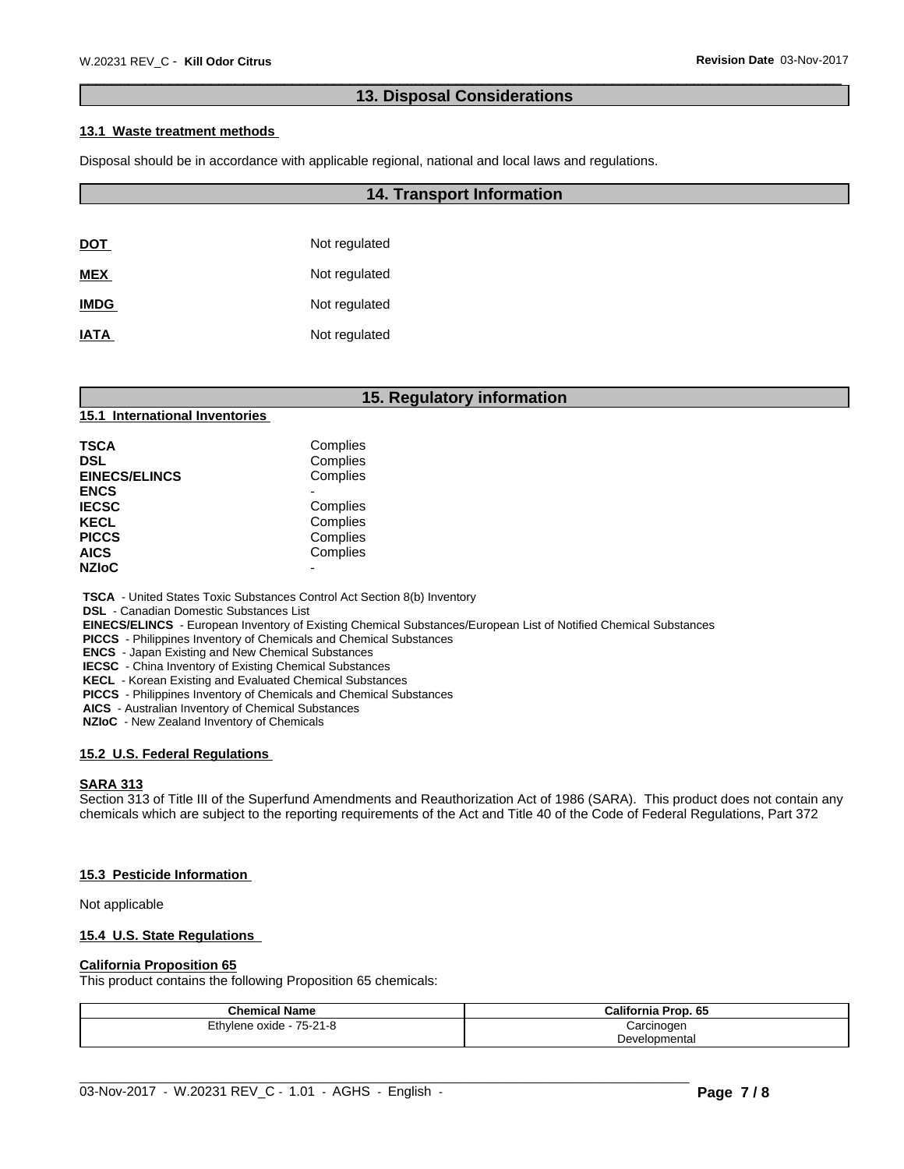# **13. Disposal Considerations**

#### **13.1 Waste treatment methods**

Disposal should be in accordance with applicable regional, national and local laws and regulations.

#### **14. Transport Information**

| <u>DOT</u>  | Not regulated |
|-------------|---------------|
| <b>MEX</b>  | Not regulated |
| <b>IMDG</b> | Not regulated |
| <b>IATA</b> | Not regulated |

# **15. Regulatory information**

#### **15.1 International Inventories**

| TSCA<br>DSL          | Complies<br>Complies |  |
|----------------------|----------------------|--|
| <b>EINECS/ELINCS</b> | Complies             |  |
| ENCS                 |                      |  |
| <b>IECSC</b>         | Complies             |  |
| KECL                 | Complies             |  |
| PICCS                | Complies             |  |
| AICS                 | Complies             |  |
| <b>NZIoC</b>         |                      |  |
|                      |                      |  |

 **TSCA** - United States Toxic Substances Control Act Section 8(b) Inventory

 **DSL** - Canadian Domestic Substances List

 **EINECS/ELINCS** - European Inventory of Existing Chemical Substances/European List of Notified Chemical Substances

 **PICCS** - Philippines Inventory of Chemicals and Chemical Substances

 **ENCS** - Japan Existing and New Chemical Substances

 **IECSC** - China Inventory of Existing Chemical Substances

 **KECL** - Korean Existing and Evaluated Chemical Substances

 **PICCS** - Philippines Inventory of Chemicals and Chemical Substances

 **AICS** - Australian Inventory of Chemical Substances

 **NZIoC** - New Zealand Inventory of Chemicals

#### **15.2 U.S. Federal Regulations**

#### **SARA 313**

Section 313 of Title III of the Superfund Amendments and Reauthorization Act of 1986 (SARA). This product does not contain any chemicals which are subject to the reporting requirements of the Act and Title 40 of the Code of Federal Regulations, Part 372

#### **15.3 Pesticide Information**

Not applicable

#### **15.4 U.S. State Regulations**

#### **California Proposition 65**

This product contains the following Proposition 65 chemicals:

| <b>Chemical Name</b>     | <b>California Prop. 65</b> |
|--------------------------|----------------------------|
| Ethylene oxide - 75-21-8 | Carcinogen                 |
|                          | Developmental              |

 $\_$  ,  $\_$  ,  $\_$  ,  $\_$  ,  $\_$  ,  $\_$  ,  $\_$  ,  $\_$  ,  $\_$  ,  $\_$  ,  $\_$  ,  $\_$  ,  $\_$  ,  $\_$  ,  $\_$  ,  $\_$  ,  $\_$  ,  $\_$  ,  $\_$  ,  $\_$  ,  $\_$  ,  $\_$  ,  $\_$  ,  $\_$  ,  $\_$  ,  $\_$  ,  $\_$  ,  $\_$  ,  $\_$  ,  $\_$  ,  $\_$  ,  $\_$  ,  $\_$  ,  $\_$  ,  $\_$  ,  $\_$  ,  $\_$  ,